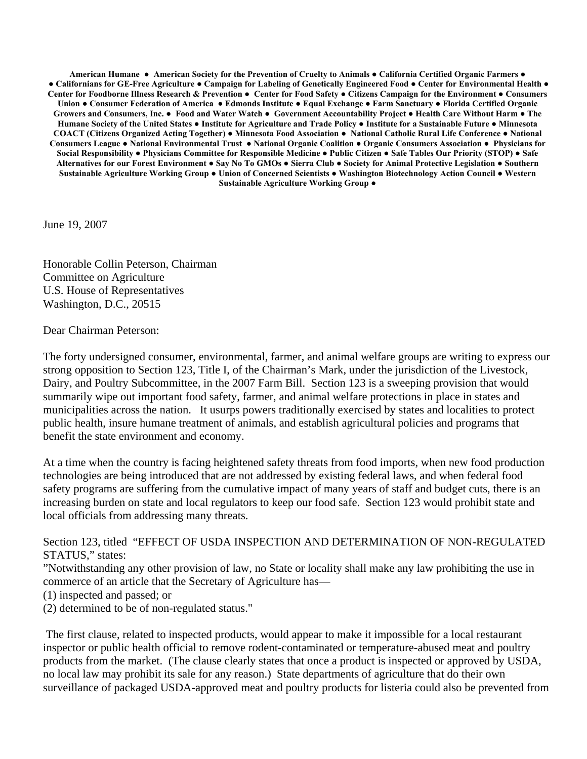**American Humane ● American Society for the Prevention of Cruelty to Animals ● California Certified Organic Farmers ● ● Californians for GE-Free Agriculture ● Campaign for Labeling of Genetically Engineered Food ● Center for Environmental Health ● Center for Foodborne Illness Research & Prevention ● Center for Food Safety ● Citizens Campaign for the Environment ● Consumers Union ● Consumer Federation of America ● Edmonds Institute ● Equal Exchange ● Farm Sanctuary ● Florida Certified Organic Growers and Consumers, Inc. ● Food and Water Watch ● Government Accountability Project ● Health Care Without Harm ● The Humane Society of the United States ● Institute for Agriculture and Trade Policy ● Institute for a Sustainable Future ● Minnesota COACT (Citizens Organized Acting Together) ● Minnesota Food Association ● National Catholic Rural Life Conference ● National Consumers League ● National Environmental Trust ● National Organic Coalition ● Organic Consumers Association ● Physicians for Social Responsibility ● Physicians Committee for Responsible Medicine ● Public Citizen ● Safe Tables Our Priority (STOP) ● Safe Alternatives for our Forest Environment ● Say No To GMOs ● Sierra Club ● Society for Animal Protective Legislation ● Southern Sustainable Agriculture Working Group ● Union of Concerned Scientists ● Washington Biotechnology Action Council ● Western Sustainable Agriculture Working Group ●** 

June 19, 2007

Honorable Collin Peterson, Chairman Committee on Agriculture U.S. House of Representatives Washington, D.C., 20515

Dear Chairman Peterson:

The forty undersigned consumer, environmental, farmer, and animal welfare groups are writing to express our strong opposition to Section 123, Title I, of the Chairman's Mark, under the jurisdiction of the Livestock, Dairy, and Poultry Subcommittee, in the 2007 Farm Bill. Section 123 is a sweeping provision that would summarily wipe out important food safety, farmer, and animal welfare protections in place in states and municipalities across the nation. It usurps powers traditionally exercised by states and localities to protect public health, insure humane treatment of animals, and establish agricultural policies and programs that benefit the state environment and economy.

At a time when the country is facing heightened safety threats from food imports, when new food production technologies are being introduced that are not addressed by existing federal laws, and when federal food safety programs are suffering from the cumulative impact of many years of staff and budget cuts, there is an increasing burden on state and local regulators to keep our food safe. Section 123 would prohibit state and local officials from addressing many threats.

Section 123, titled "EFFECT OF USDA INSPECTION AND DETERMINATION OF NON-REGULATED STATUS," states:

"Notwithstanding any other provision of law, no State or locality shall make any law prohibiting the use in commerce of an article that the Secretary of Agriculture has—

(1) inspected and passed; or

(2) determined to be of non-regulated status."

 The first clause, related to inspected products, would appear to make it impossible for a local restaurant inspector or public health official to remove rodent-contaminated or temperature-abused meat and poultry products from the market. (The clause clearly states that once a product is inspected or approved by USDA, no local law may prohibit its sale for any reason.) State departments of agriculture that do their own surveillance of packaged USDA-approved meat and poultry products for listeria could also be prevented from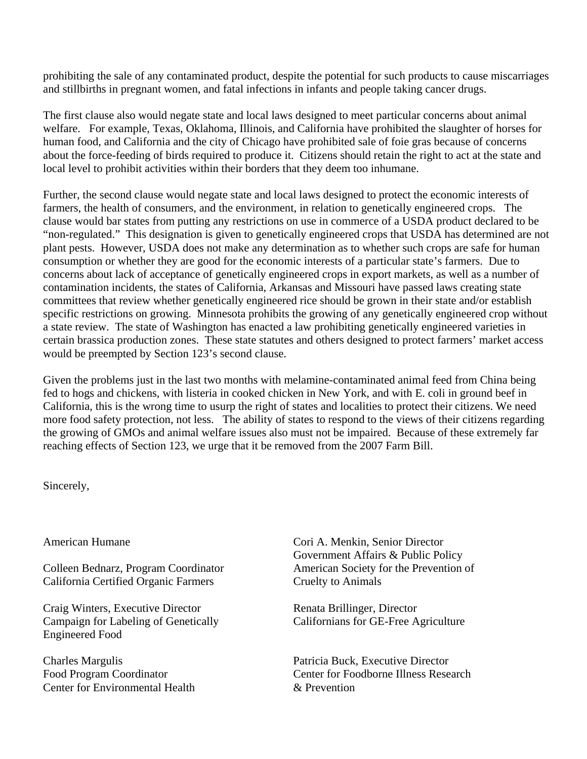prohibiting the sale of any contaminated product, despite the potential for such products to cause miscarriages and stillbirths in pregnant women, and fatal infections in infants and people taking cancer drugs.

The first clause also would negate state and local laws designed to meet particular concerns about animal welfare. For example, Texas, Oklahoma, Illinois, and California have prohibited the slaughter of horses for human food, and California and the city of Chicago have prohibited sale of foie gras because of concerns about the force-feeding of birds required to produce it. Citizens should retain the right to act at the state and local level to prohibit activities within their borders that they deem too inhumane.

Further, the second clause would negate state and local laws designed to protect the economic interests of farmers, the health of consumers, and the environment, in relation to genetically engineered crops. The clause would bar states from putting any restrictions on use in commerce of a USDA product declared to be "non-regulated." This designation is given to genetically engineered crops that USDA has determined are not plant pests. However, USDA does not make any determination as to whether such crops are safe for human consumption or whether they are good for the economic interests of a particular state's farmers. Due to concerns about lack of acceptance of genetically engineered crops in export markets, as well as a number of contamination incidents, the states of California, Arkansas and Missouri have passed laws creating state committees that review whether genetically engineered rice should be grown in their state and/or establish specific restrictions on growing. Minnesota prohibits the growing of any genetically engineered crop without a state review. The state of Washington has enacted a law prohibiting genetically engineered varieties in certain brassica production zones. These state statutes and others designed to protect farmers' market access would be preempted by Section 123's second clause.

Given the problems just in the last two months with melamine-contaminated animal feed from China being fed to hogs and chickens, with listeria in cooked chicken in New York, and with E. coli in ground beef in California, this is the wrong time to usurp the right of states and localities to protect their citizens. We need more food safety protection, not less. The ability of states to respond to the views of their citizens regarding the growing of GMOs and animal welfare issues also must not be impaired. Because of these extremely far reaching effects of Section 123, we urge that it be removed from the 2007 Farm Bill.

Sincerely,

California Certified Organic Farmers Cruelty to Animals

Craig Winters, Executive Director Renata Brillinger, Director Campaign for Labeling of Genetically Californians for GE-Free Agriculture Engineered Food

Center for Environmental Health & Prevention

American Humane Cori A. Menkin, Senior Director Government Affairs & Public Policy Colleen Bednarz, Program Coordinator American Society for the Prevention of

Charles Margulis Patricia Buck, Executive Director Food Program Coordinator Center for Foodborne Illness Research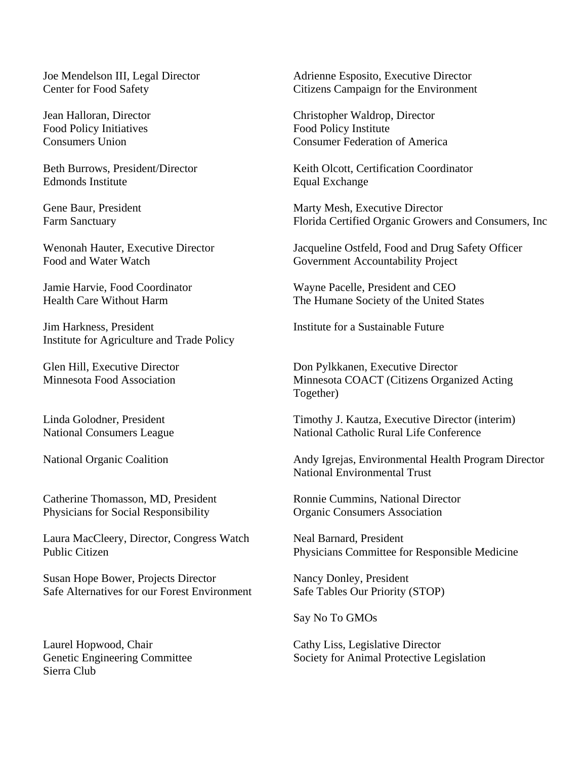Food Policy Initiatives

Edmonds Institute Equal Exchange

Food and Water Watch Government Accountability Project

Jim Harkness, President Institute for a Sustainable Future Institute for Agriculture and Trade Policy

Catherine Thomasson, MD, President Ronnie Cummins, National Director Physicians for Social Responsibility **Organic Consumers Association** 

Laura MacCleery, Director, Congress Watch Neal Barnard, President

Susan Hope Bower, Projects Director Nancy Donley, President Safe Alternatives for our Forest Environment Safe Tables Our Priority (STOP)

Sierra Club

Joe Mendelson III, Legal Director Adrienne Esposito, Executive Director Center for Food Safety Citizens Campaign for the Environment

Jean Halloran, Director Christopher Waldrop, Director Consumers Union Consumer Federation of America

Beth Burrows, President/Director Keith Olcott, Certification Coordinator

Gene Baur, President Marty Mesh, Executive Director Farm Sanctuary Florida Certified Organic Growers and Consumers, Inc

Wenonah Hauter, Executive Director Jacqueline Ostfeld, Food and Drug Safety Officer

Jamie Harvie, Food Coordinator Wayne Pacelle, President and CEO Health Care Without Harm The Humane Society of the United States

Glen Hill, Executive Director Don Pylkkanen, Executive Director Minnesota Food Association Minnesota COACT (Citizens Organized Acting Together)

Linda Golodner, President Timothy J. Kautza, Executive Director (interim) National Consumers League National Catholic Rural Life Conference

National Organic Coalition Andy Igrejas, Environmental Health Program Director National Environmental Trust

Public Citizen Physicians Committee for Responsible Medicine

Say No To GMOs

Laurel Hopwood, Chair Cathy Liss, Legislative Director Genetic Engineering Committee Society for Animal Protective Legislation